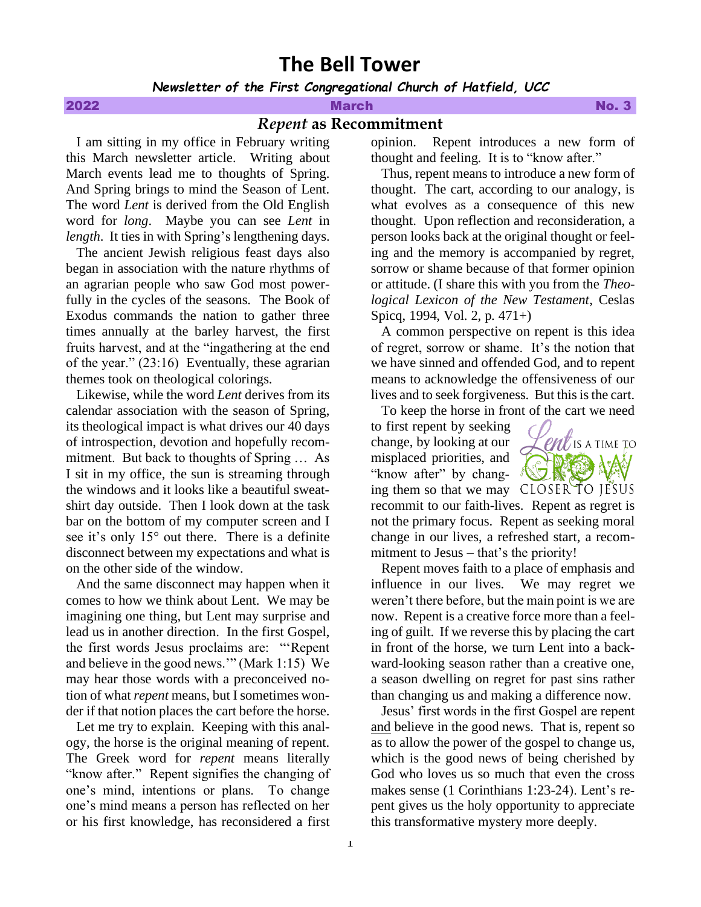# **The Bell Tower**

*Newsletter of the First Congregational Church of Hatfield, UCC*

# *Repent* **as Recommitment**

 I am sitting in my office in February writing this March newsletter article. Writing about March events lead me to thoughts of Spring. And Spring brings to mind the Season of Lent. The word *Lent* is derived from the Old English word for *long*. Maybe you can see *Lent* in *length*. It ties in with Spring's lengthening days.

 The ancient Jewish religious feast days also began in association with the nature rhythms of an agrarian people who saw God most powerfully in the cycles of the seasons. The Book of Exodus commands the nation to gather three times annually at the barley harvest, the first fruits harvest, and at the "ingathering at the end of the year." (23:16) Eventually, these agrarian themes took on theological colorings.

 Likewise, while the word *Lent* derives from its calendar association with the season of Spring, its theological impact is what drives our 40 days of introspection, devotion and hopefully recommitment. But back to thoughts of Spring … As I sit in my office, the sun is streaming through the windows and it looks like a beautiful sweatshirt day outside. Then I look down at the task bar on the bottom of my computer screen and I see it's only 15° out there. There is a definite disconnect between my expectations and what is on the other side of the window.

 And the same disconnect may happen when it comes to how we think about Lent. We may be imagining one thing, but Lent may surprise and lead us in another direction. In the first Gospel, the first words Jesus proclaims are: "'Repent and believe in the good news.'" (Mark 1:15) We may hear those words with a preconceived notion of what *repent* means, but I sometimes wonder if that notion places the cart before the horse.

 Let me try to explain. Keeping with this analogy, the horse is the original meaning of repent. The Greek word for *repent* means literally "know after." Repent signifies the changing of one's mind, intentions or plans. To change one's mind means a person has reflected on her or his first knowledge, has reconsidered a first

opinion. Repent introduces a new form of thought and feeling. It is to "know after."

 Thus, repent means to introduce a new form of thought. The cart, according to our analogy, is what evolves as a consequence of this new thought. Upon reflection and reconsideration, a person looks back at the original thought or feeling and the memory is accompanied by regret, sorrow or shame because of that former opinion or attitude. (I share this with you from the *Theological Lexicon of the New Testament*, Ceslas Spicq, 1994, Vol. 2, p. 471+)

 A common perspective on repent is this idea of regret, sorrow or shame. It's the notion that we have sinned and offended God, and to repent means to acknowledge the offensiveness of our lives and to seek forgiveness. But this is the cart.

To keep the horse in front of the cart we need

to first repent by seeking change, by looking at our misplaced priorities, and "know after" by changing them so that we may CLOSER TO IESUS recommit to our faith-lives. Repent as regret is not the primary focus. Repent as seeking moral change in our lives, a refreshed start, a recom-



mitment to Jesus – that's the priority! Repent moves faith to a place of emphasis and influence in our lives. We may regret we weren't there before, but the main point is we are now. Repent is a creative force more than a feeling of guilt. If we reverse this by placing the cart in front of the horse, we turn Lent into a backward-looking season rather than a creative one, a season dwelling on regret for past sins rather than changing us and making a difference now.

 Jesus' first words in the first Gospel are repent and believe in the good news. That is, repent so as to allow the power of the gospel to change us, which is the good news of being cherished by God who loves us so much that even the cross makes sense (1 Corinthians 1:23-24). Lent's repent gives us the holy opportunity to appreciate this transformative mystery more deeply.

2022 March No. 3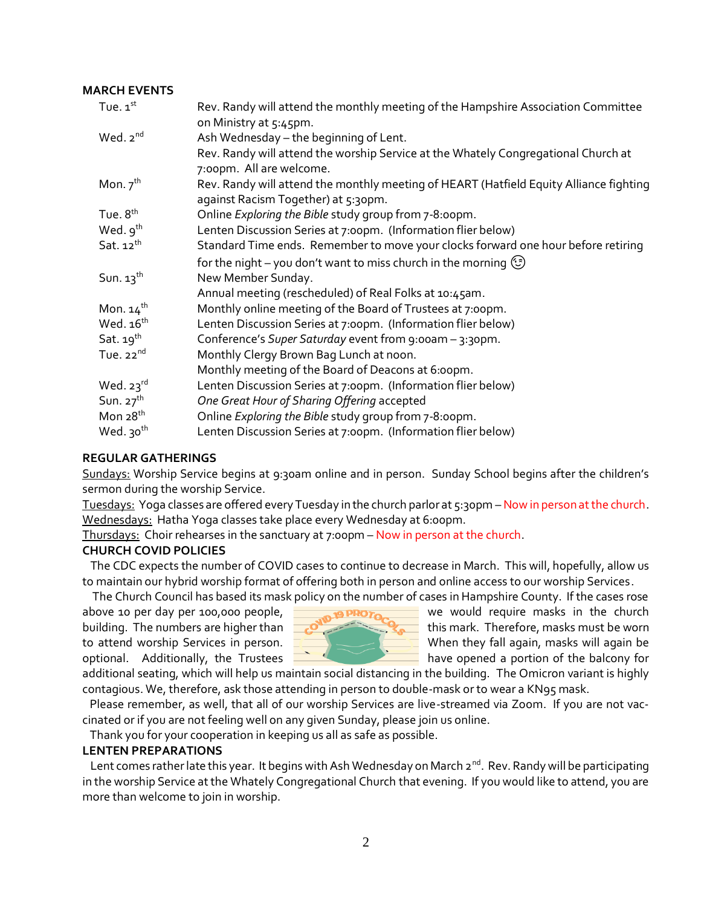## **MARCH EVENTS**

| Tue. $1st$            | Rev. Randy will attend the monthly meeting of the Hampshire Association Committee<br>on Ministry at 5:45pm. |
|-----------------------|-------------------------------------------------------------------------------------------------------------|
| Wed. 2nd              | Ash Wednesday - the beginning of Lent.                                                                      |
|                       | Rev. Randy will attend the worship Service at the Whately Congregational Church at                          |
|                       | 7:00pm. All are welcome.                                                                                    |
| Mon. $7^{\text{th}}$  | Rev. Randy will attend the monthly meeting of HEART (Hatfield Equity Alliance fighting                      |
|                       | against Racism Together) at 5:30pm.                                                                         |
| Tue. 8 <sup>th</sup>  | Online Exploring the Bible study group from 7-8:00pm.                                                       |
| Wed. 9 <sup>th</sup>  | Lenten Discussion Series at 7:00pm. (Information flier below)                                               |
| Sat. $12^{th}$        | Standard Time ends. Remember to move your clocks forward one hour before retiring                           |
|                       | for the night – you don't want to miss church in the morning ( $\text{C}$ )                                 |
| Sun. $13^{\text{th}}$ | New Member Sunday.                                                                                          |
|                       | Annual meeting (rescheduled) of Real Folks at 10:45am.                                                      |
| Mon. $14^{th}$        | Monthly online meeting of the Board of Trustees at 7:00pm.                                                  |
| Wed. 16 <sup>th</sup> | Lenten Discussion Series at 7:00pm. (Information flier below)                                               |
| Sat. $19^{th}$        | Conference's Super Saturday event from 9:00am - 3:30pm.                                                     |
| Tue. $22^{nd}$        | Monthly Clergy Brown Bag Lunch at noon.                                                                     |
|                       | Monthly meeting of the Board of Deacons at 6:00pm.                                                          |
| Wed. $23^{rd}$        | Lenten Discussion Series at 7:00pm. (Information flier below)                                               |
| Sun. $27th$           | One Great Hour of Sharing Offering accepted                                                                 |
| Mon 28 <sup>th</sup>  | Online Exploring the Bible study group from 7-8:00pm.                                                       |
| Wed. $30th$           | Lenten Discussion Series at 7:00pm. (Information flier below)                                               |

## **REGULAR GATHERINGS**

Sundays: Worship Service begins at 9:30am online and in person. Sunday School begins after the children's sermon during the worship Service.

Tuesdays: Yoga classes are offered every Tuesday in the church parlor at 5:30pm –Now in person at the church. Wednesdays: Hatha Yoga classes take place every Wednesday at 6:00pm.

Thursdays: Choir rehearses in the sanctuary at 7:00pm - Now in person at the church.

## **CHURCH COVID POLICIES**

The CDC expects the number of COVID cases to continue to decrease in March. This will, hopefully, allow us to maintain our hybrid worship format of offering both in person and online access to our worship Services.

The Church Council has based its mask policy on the number of cases in Hampshire County. If the cases rose



above 10 per day per 100,000 people,  $\Box$  **19 PROTA** we would require masks in the church building. The numbers are higher than  $\sim$   $\sim$   $\sim$   $\sim$  this mark. Therefore, masks must be worn to attend worship Services in person.  $\Box$  When they fall again, masks will again be optional. Additionally, the Trustees  $\Box$ 

additional seating, which will help us maintain social distancing in the building. The Omicron variant is highly contagious. We, therefore, ask those attending in person to double-mask or to wear a KN95 mask.

 Please remember, as well, that all of our worship Services are live-streamed via Zoom. If you are not vaccinated or if you are not feeling well on any given Sunday, please join us online.

Thank you for your cooperation in keeping us all as safe as possible.

## **LENTEN PREPARATIONS**

Lent comes rather late this year. It begins with Ash Wednesday on March 2<sup>nd</sup>. Rev. Randy will be participating in the worship Service at the Whately Congregational Church that evening. If you would like to attend, you are more than welcome to join in worship.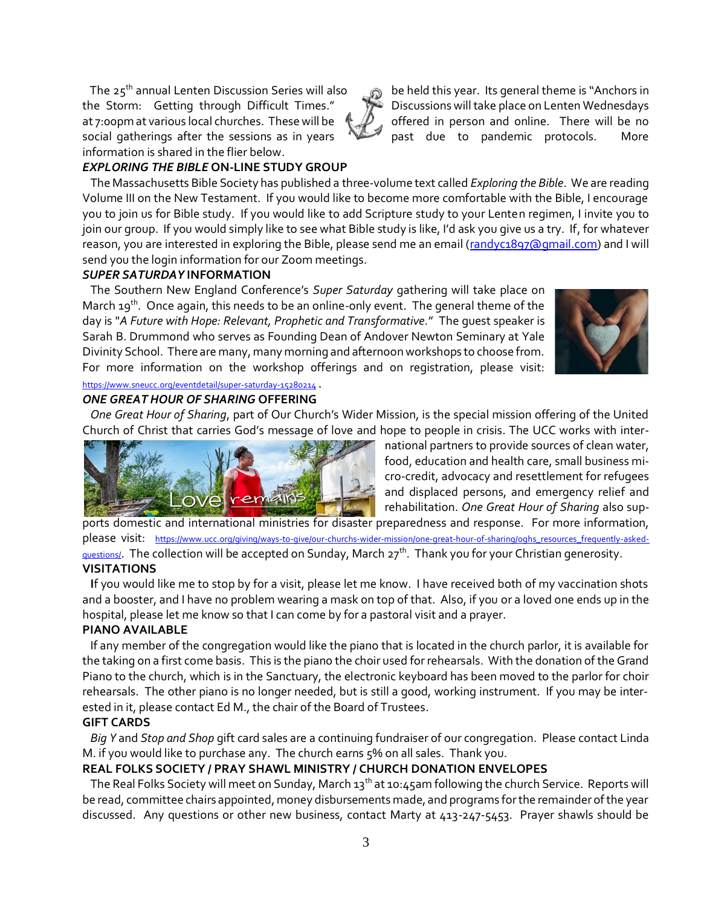The 25<sup>th</sup> annual Lenten Discussion Series will also  $\qquad \qquad \circledcirc$  be held this year. Its general theme is "Anchors in the Storm: Getting through Difficult Times." Discussions will take place on Lenten Wednesdays at 7:00pm at various local churches. These will be  $\mathcal{L}$  offered in person and online. There will be no social gatherings after the sessions as in years **the section of the set of pandemic** protocols. More information is shared in the flier below.

# *EXPLORING THE BIBLE* **ON-LINE STUDY GROUP**

The Massachusetts Bible Society has published a three-volume text called *Exploring the Bible*. We are reading Volume III on the New Testament. If you would like to become more comfortable with the Bible, I encourage you to join us for Bible study. If you would like to add Scripture study to your Lenten regimen, I invite you to join our group. If you would simply like to see what Bible study is like, I'd ask you give us a try. If, for whatever reason, you are interested in exploring the Bible, please send me an email (randyc1897@qmail.com) and I will send you the login information for our Zoom meetings.

## *SUPER SATURDAY* **INFORMATION**

The Southern New England Conference's *Super Saturday* gathering will take place on March 19<sup>th</sup>. Once again, this needs to be an online-only event. The general theme of the day is "*A Future with Hope: Relevant, Prophetic and Transformative.*" The guest speaker is Sarah B. Drummond who serves as Founding Dean of Andover Newton Seminary at Yale Divinity School. There are many, many morning and afternoon workshops to choose from. For more information on the workshop offerings and on registration, please visit:



#### *ONE GREAT HOUR OF SHARING* **OFFERING**

*One Great Hour of Sharing*, part of Our Church's Wider Mission, is the special mission offering of the United Church of Christ that carries God's message of love and hope to people in crisis. The UCC works with inter-



national partners to provide sources of clean water, food, education and health care, small business micro-credit, advocacy and resettlement for refugees and displaced persons, and emergency relief and rehabilitation. *One Great Hour of Sharing* also sup-

ports domestic and international ministries for disaster preparedness and response. For more information, please visit: [https://www.ucc.org/giving/ways-to-give/our-churchs-wider-mission/one-great-hour-of-sharing/oghs\\_resources\\_frequently-asked](https://www.ucc.org/giving/ways-to-give/our-churchs-wider-mission/one-great-hour-of-sharing/oghs_resources_frequently-asked-questions/)<u>[questions/](https://www.ucc.org/giving/ways-to-give/our-churchs-wider-mission/one-great-hour-of-sharing/oghs_resources_frequently-asked-questions/)</u>. The collection will be accepted on Sunday, March 27<sup>th</sup>. Thank you for your Christian generosity.

## **VISITATIONS**

 **I**f you would like me to stop by for a visit, please let me know. I have received both of my vaccination shots and a booster, and I have no problem wearing a mask on top of that. Also, if you or a loved one ends up in the hospital, please let me know so that I can come by for a pastoral visit and a prayer.

## **PIANO AVAILABLE**

If any member of the congregation would like the piano that is located in the church parlor, it is available for the taking on a first come basis. This is the piano the choir used for rehearsals. With the donation of the Grand Piano to the church, which is in the Sanctuary, the electronic keyboard has been moved to the parlor for choir rehearsals. The other piano is no longer needed, but is still a good, working instrument. If you may be interested in it, please contact Ed M., the chair of the Board of Trustees.

## **GIFT CARDS**

*Big Y* and *Stop and Shop* gift card sales are a continuing fundraiser of our congregation. Please contact Linda M. if you would like to purchase any. The church earns 5% on all sales. Thank you.

# **REAL FOLKS SOCIETY / PRAY SHAWL MINISTRY / CHURCH DONATION ENVELOPES**

The Real Folks Society will meet on Sunday, March 13<sup>th</sup> at 10:45am following the church Service. Reports will be read, committee chairs appointed, money disbursements made, and programs for the remainder of the year discussed. Any questions or other new business, contact Marty at 413-247-5453. Prayer shawls should be